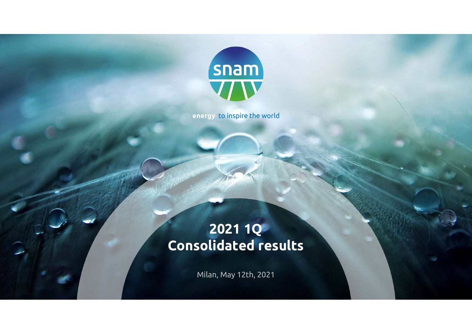

**energy** to inspire the world

# **2021 1Q Consolidated results**

Milan, May 12th, 2021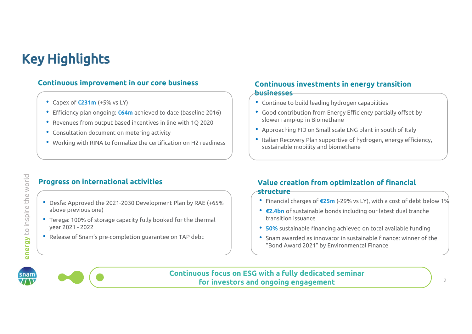# Key Highlights

#### **Continuous improvement in our core business**

- Capex of **€231m** (+5% vs LY)
- Efficiency plan ongoing: **€64m** achieved to date (baseline 2016)
- Revenues from output based incentives in line with 1Q 2020
- Consultation document on metering activity
- Working with RINA to formalize the certification on H2 readiness

#### **Continuous investments in energy transition businesses**

- Continue to build leading hydrogen capabilities
- Good contribution from Energy Efficiency partially offset by slower ramp-up in Biomethane
- Approaching FID on Small scale LNG plant in south of Italy
- Italian Recovery Plan supportive of hydrogen, energy efficiency, sustainable mobility and biomethane

#### **Progress on international activities**

- Desfa: Approved the 2021-2030 Development Plan by RAE (+65% above previous one)
- Terega: 100% of storage capacity fully booked for the thermal year 2021 - 2022
- Release of Snam's pre-completion guarantee on TAP debt

#### **Value creation from optimization of financial structure**

- Financial charges of **€25m** (-29% vs LY), with a cost of debt below 1%
- **€2.4bn** of sustainable bonds including our latest dual tranche transition issuance
- **50%** sustainable financing achieved on total available funding
- Snam awarded as innovator in sustainable finance: winner of the "Bond Award 2021" by Environmental Finance



**energy** to inspire the world

energy to inspire the world



**Continuous focus on ESG with a fully dedicated seminar for investors and ongoing engagement**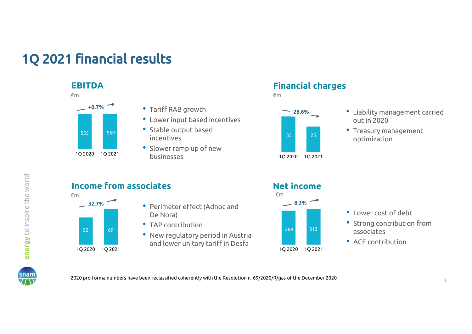# 1Q 2021 financial results

#### **EBITDA**



- Tariff RAB growth
- Lower input based incentives
- Stable output based incentives
- Slower ramp up of new businesses

#### **Financial charges**



- Liability management carried out in 2020
- Treasury management optimization

### **Income from associates**



- Perimeter effect (Adnoc and **8.3%**De Nora)
	- TAP contribution
	- New regulatory period in Austria and lower unitary tariff in Desfa

#### **Net income**



- Lower cost of debt
- Strong contribution from associates
- ACE contribution



2020 pro-forma numbers have been reclassified coherently with the Resolution n. 69/2020/R/gas of the December 2020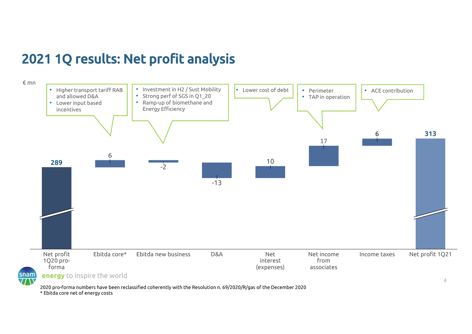# 2021 1Q results: Net profit analysis



2020 pro-forma numbers have been reclassified coherently with the Resolution n. 69/2020/R/gas of the December 2020 \* Ebitda core net of energy costs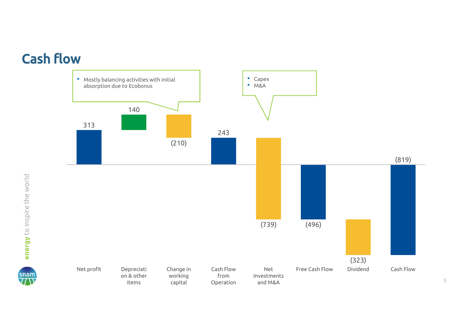# Cash flow



5

snam<br>77 N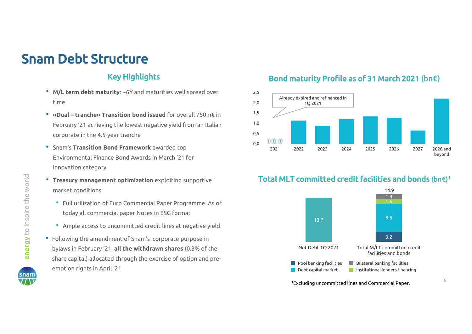# Snam Debt Structure

#### Key Highlights

- **M/L term debt maturity**: ~6Y and maturities well spread over time
- **«Dual – tranche» Transition bond issued** for overall 750m€ in February '21 achieving the lowest negative yield from an Italian corporate in the 4.5-year tranche
- Snam's **Transition Bond Framework** awarded top Environmental Finance Bond Awards in March '21 for Innovation category
- **Treasury management optimization** exploiting supportive market conditions:
	- Full utilization of Euro Commercial Paper Programme. As of today all commercial paper Notes in ESG format
	- Ample access to uncommitted credit lines at negative yield
- Following the amendment of Snam's corporate purpose in bylaws in February '21, **all the withdrawn shares** (0.3% of the share capital) allocated through the exercise of option and preemption rights in April '21

#### Bond maturity Profile as of 31 March 2021 (bn€)





1Excluding uncommitted lines and Commercial Paper.

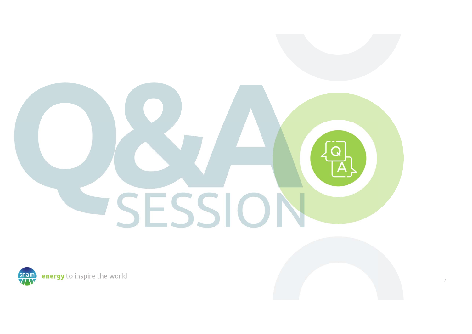

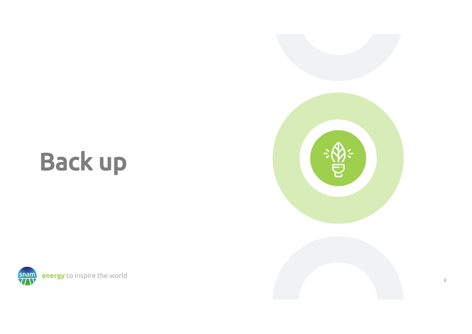# Back up



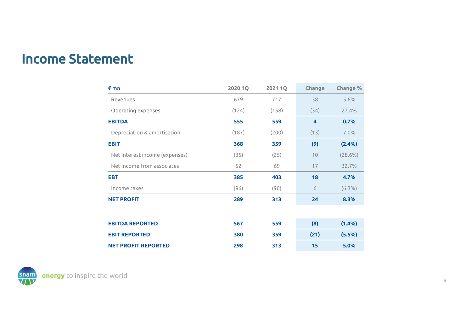### Income Statement

| €mn                            | 2020 1Q | 2021 1Q | Change | Change %  |
|--------------------------------|---------|---------|--------|-----------|
| Revenues                       | 679     | 717     | 38     | 5.6%      |
| Operating expenses             | (124)   | (158)   | (34)   | 27.4%     |
| <b>EBITDA</b>                  | 555     | 559     | 4      | 0.7%      |
| Depreciation & amortisation    | (187)   | (200)   | (13)   | 7.0%      |
| <b>EBIT</b>                    | 368     | 359     | (9)    | (2.4%)    |
| Net interest income (expenses) | (35)    | (25)    | 10     | (28.6%)   |
| Net income from associates     | 52      | 69      | 17     | 32.7%     |
| <b>EBT</b>                     | 385     | 403     | 18     | 4.7%      |
| Income taxes                   | (96)    | (90)    | 6      | $(6.3\%)$ |
| <b>NET PROFIT</b>              | 289     | 313     | 24     | 8.3%      |
|                                |         |         |        |           |
| <b>EBITDA REPORTED</b>         | 567     | 559     | (8)    | (1.4% )   |
| <b>EBIT REPORTED</b>           | 380     | 359     | (21)   | (5.5%)    |
| <b>NET PROFIT REPORTED</b>     | 298     | 313     | 15     | 5.0%      |

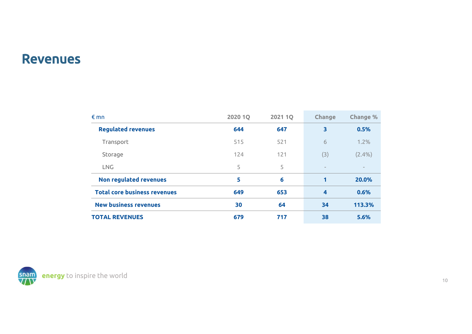#### Revenues

| $\n  mn\n$                          | <b>2020 1Q</b> | <b>2021 1Q</b> | Change                   | Change %                 |
|-------------------------------------|----------------|----------------|--------------------------|--------------------------|
| <b>Regulated revenues</b>           | 644            | 647            | 3                        | 0.5%                     |
| Transport                           | 515            | 521            | 6                        | 1.2%                     |
| Storage                             | 124            | 121            | (3)                      | $(2.4\%)$                |
| <b>LNG</b>                          | 5              | 5              | $\overline{\phantom{m}}$ | $\overline{\phantom{m}}$ |
| Non regulated revenues              | 5              | 6              | 1                        | 20.0%                    |
| <b>Total core business revenues</b> | 649            | 653            | $\overline{\mathbf{4}}$  | 0.6%                     |
| <b>New business revenues</b>        | 30             | 64             | 34                       | 113.3%                   |
| <b>TOTAL REVENUES</b>               | 679            | 717            | 38                       | 5.6%                     |

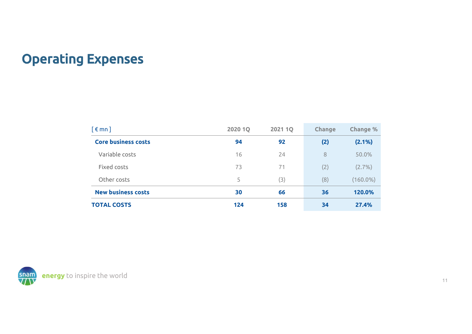# Operating Expenses

| $\lceil \epsilon \mod 1 \rceil$ | <b>2020 1Q</b> | <b>2021 1Q</b> | Change | Change %    |
|---------------------------------|----------------|----------------|--------|-------------|
| <b>Core business costs</b>      | 94             | 92             | (2)    | $(2.1\%)$   |
| Variable costs                  | 16             | 24             | 8      | 50.0%       |
| Fixed costs                     | 73             | 71             | (2)    | (2.7%)      |
| Other costs                     | 5              | (3)            | (8)    | $(160.0\%)$ |
| <b>New business costs</b>       | 30             | 66             | 36     | 120.0%      |
| <b>TOTAL COSTS</b>              | 124            | 158            | 34     | 27.4%       |

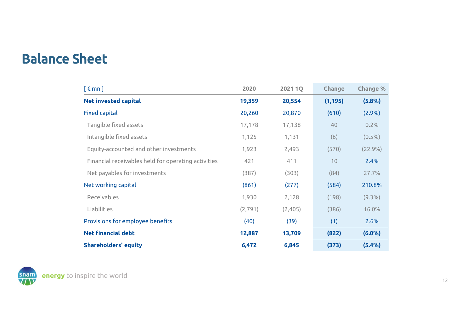## Balance Sheet

| $\lceil \epsilon$ mn $\rceil$                       | 2020     | <b>2021 1Q</b> | Change   | <b>Change %</b> |
|-----------------------------------------------------|----------|----------------|----------|-----------------|
| <b>Net invested capital</b>                         | 19,359   | 20,554         | (1, 195) | (5.8%)          |
| <b>Fixed capital</b>                                | 20,260   | 20,870         | (610)    | $(2.9\%)$       |
| Tangible fixed assets                               | 17,178   | 17,138         | 40       | 0.2%            |
| Intangible fixed assets                             | 1,125    | 1,131          | (6)      | $(0.5\%)$       |
| Equity-accounted and other investments              | 1,923    | 2,493          | (570)    | $(22.9\%)$      |
| Financial receivables held for operating activities | 421      | 411            | 10       | 2.4%            |
| Net payables for investments                        | (387)    | (303)          | (84)     | 27.7%           |
| Net working capital                                 | (861)    | (277)          | (584)    | 210.8%          |
| Receivables                                         | 1,930    | 2,128          | (198)    | $(9.3\%)$       |
| Liabilities                                         | (2, 791) | (2,405)        | (386)    | 16.0%           |
| Provisions for employee benefits                    | (40)     | (39)           | (1)      | 2.6%            |
| <b>Net financial debt</b>                           | 12,887   | 13,709         | (822)    | $(6.0\%)$       |
| <b>Shareholders' equity</b>                         | 6,472    | 6,845          | (373)    | (5.4%)          |